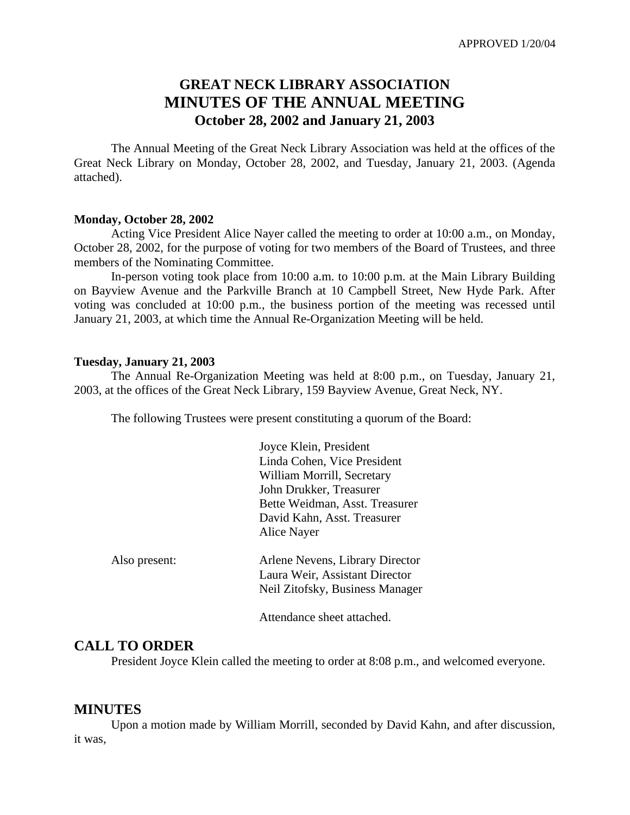# **GREAT NECK LIBRARY ASSOCIATION MINUTES OF THE ANNUAL MEETING October 28, 2002 and January 21, 2003**

The Annual Meeting of the Great Neck Library Association was held at the offices of the Great Neck Library on Monday, October 28, 2002, and Tuesday, January 21, 2003. (Agenda attached).

#### **Monday, October 28, 2002**

Acting Vice President Alice Nayer called the meeting to order at 10:00 a.m., on Monday, October 28, 2002, for the purpose of voting for two members of the Board of Trustees, and three members of the Nominating Committee.

In-person voting took place from 10:00 a.m. to 10:00 p.m. at the Main Library Building on Bayview Avenue and the Parkville Branch at 10 Campbell Street, New Hyde Park. After voting was concluded at 10:00 p.m., the business portion of the meeting was recessed until January 21, 2003, at which time the Annual Re-Organization Meeting will be held.

#### **Tuesday, January 21, 2003**

The Annual Re-Organization Meeting was held at 8:00 p.m., on Tuesday, January 21, 2003, at the offices of the Great Neck Library, 159 Bayview Avenue, Great Neck, NY.

The following Trustees were present constituting a quorum of the Board:

|               | Joyce Klein, President          |
|---------------|---------------------------------|
|               | Linda Cohen, Vice President     |
|               | William Morrill, Secretary      |
|               | John Drukker, Treasurer         |
|               | Bette Weidman, Asst. Treasurer  |
|               | David Kahn, Asst. Treasurer     |
|               | Alice Nayer                     |
| Also present: | Arlene Nevens, Library Director |
|               | Laura Weir, Assistant Director  |
|               | Neil Zitofsky, Business Manager |
|               |                                 |

Attendance sheet attached.

### **CALL TO ORDER**

President Joyce Klein called the meeting to order at 8:08 p.m., and welcomed everyone.

#### **MINUTES**

Upon a motion made by William Morrill, seconded by David Kahn, and after discussion, it was,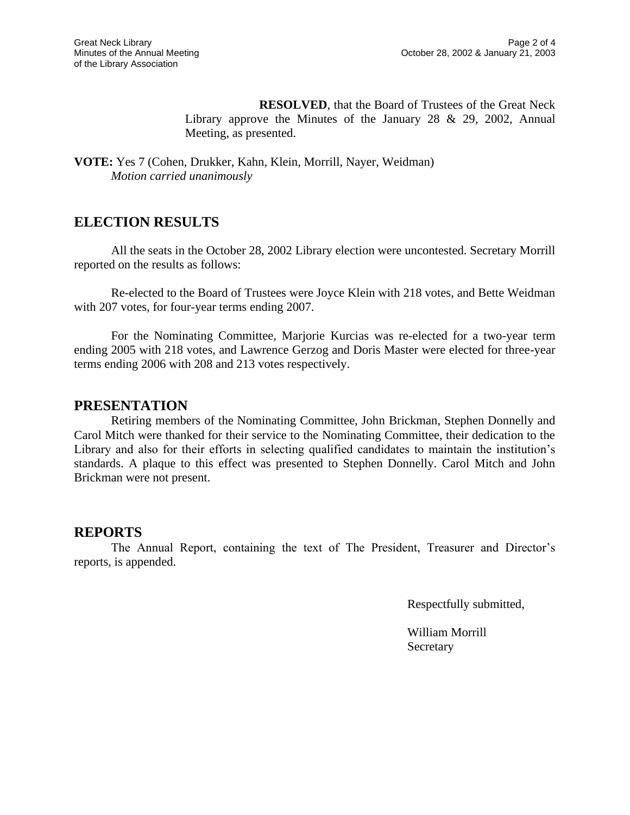**RESOLVED**, that the Board of Trustees of the Great Neck Library approve the Minutes of the January 28  $\&$  29, 2002, Annual Meeting, as presented.

**VOTE:** Yes 7 (Cohen, Drukker, Kahn, Klein, Morrill, Nayer, Weidman) *Motion carried unanimously*

## **ELECTION RESULTS**

All the seats in the October 28, 2002 Library election were uncontested. Secretary Morrill reported on the results as follows:

Re-elected to the Board of Trustees were Joyce Klein with 218 votes, and Bette Weidman with 207 votes, for four-year terms ending 2007.

For the Nominating Committee, Marjorie Kurcias was re-elected for a two-year term ending 2005 with 218 votes, and Lawrence Gerzog and Doris Master were elected for three-year terms ending 2006 with 208 and 213 votes respectively.

### **PRESENTATION**

Retiring members of the Nominating Committee, John Brickman, Stephen Donnelly and Carol Mitch were thanked for their service to the Nominating Committee, their dedication to the Library and also for their efforts in selecting qualified candidates to maintain the institution's standards. A plaque to this effect was presented to Stephen Donnelly. Carol Mitch and John Brickman were not present.

### **REPORTS**

The Annual Report, containing the text of The President, Treasurer and Director's reports, is appended.

Respectfully submitted,

William Morrill **Secretary**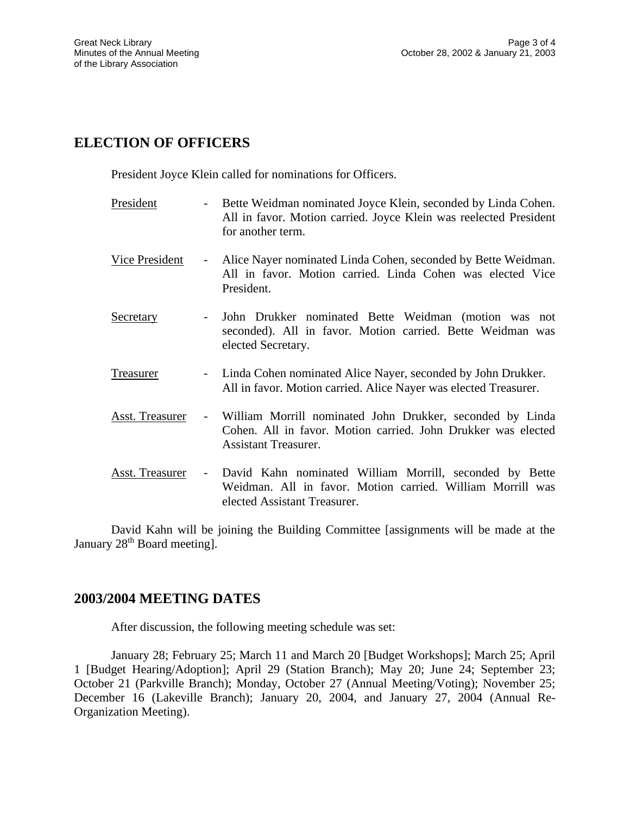# **ELECTION OF OFFICERS**

President Joyce Klein called for nominations for Officers.

- President Bette Weidman nominated Joyce Klein, seconded by Linda Cohen. All in favor. Motion carried. Joyce Klein was reelected President for another term.
- Vice President Alice Nayer nominated Linda Cohen, seconded by Bette Weidman. All in favor. Motion carried. Linda Cohen was elected Vice President.
- Secretary John Drukker nominated Bette Weidman (motion was not seconded). All in favor. Motion carried. Bette Weidman was elected Secretary.
- Treasurer Linda Cohen nominated Alice Nayer, seconded by John Drukker. All in favor. Motion carried. Alice Nayer was elected Treasurer.
- Asst. Treasurer William Morrill nominated John Drukker, seconded by Linda Cohen. All in favor. Motion carried. John Drukker was elected Assistant Treasurer.
- Asst. Treasurer David Kahn nominated William Morrill, seconded by Bette Weidman. All in favor. Motion carried. William Morrill was elected Assistant Treasurer.

David Kahn will be joining the Building Committee [assignments will be made at the January 28<sup>th</sup> Board meeting].

## **2003/2004 MEETING DATES**

After discussion, the following meeting schedule was set:

January 28; February 25; March 11 and March 20 [Budget Workshops]; March 25; April 1 [Budget Hearing/Adoption]; April 29 (Station Branch); May 20; June 24; September 23; October 21 (Parkville Branch); Monday, October 27 (Annual Meeting/Voting); November 25; December 16 (Lakeville Branch); January 20, 2004, and January 27, 2004 (Annual Re-Organization Meeting).